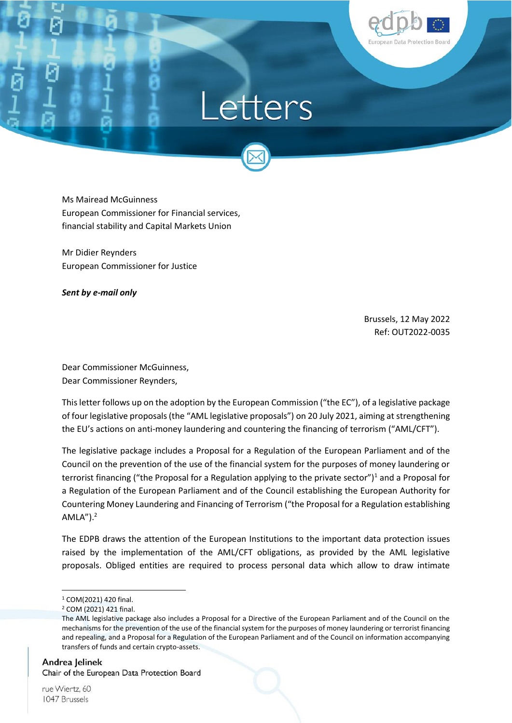

# Letters

Ms Mairead McGuinness European Commissioner for Financial services, financial stability and Capital Markets Union

Mr Didier Reynders European Commissioner for Justice

*Sent by e-mail only*

Brussels, 12 May 2022 Ref: OUT2022-0035

Dear Commissioner McGuinness, Dear Commissioner Reynders,

This letter follows up on the adoption by the European Commission ("the EC"), of a legislative package of four legislative proposals (the "AML legislative proposals") on 20 July 2021, aiming at strengthening the EU's actions on anti-money laundering and countering the financing of terrorism ("AML/CFT").

The legislative package includes a Proposal for a Regulation of the European Parliament and of the Council on the prevention of the use of the financial system for the purposes of money laundering or terrorist financing ("the Proposal for a Regulation applying to the private sector")<sup>1</sup> and a Proposal for a Regulation of the European Parliament and of the Council establishing the European Authority for Countering Money Laundering and Financing of Terrorism ("the Proposal for a Regulation establishing  $AMLA'$ ). $<sup>2</sup>$ </sup>

The EDPB draws the attention of the European Institutions to the important data protection issues raised by the implementation of the AML/CFT obligations, as provided by the AML legislative proposals. Obliged entities are required to process personal data which allow to draw intimate

Andrea Jelinek Chair of the European Data Protection Board

rue Wiertz, 60 1047 Brussels

 $\overline{a}$ 

<sup>1</sup> COM(2021) 420 final.

<sup>2</sup> COM (2021) 421 final.

The AML legislative package also includes a Proposal for a Directive of the European Parliament and of the Council on the mechanisms for the prevention of the use of the financial system for the purposes of money laundering or terrorist financing and repealing, and a Proposal for a Regulation of the European Parliament and of the Council on information accompanying transfers of funds and certain crypto-assets.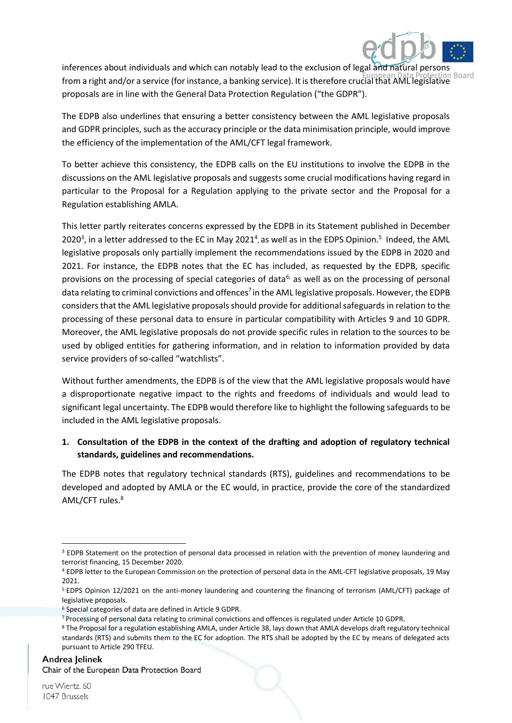

inferences about individuals and which can notably lead to the exclusion of legal and natural persons from a right and/or a service (for instance, a banking service). It is therefore crucial that AML legislative proposals are in line with the General Data Protection Regulation ("the GDPR").

The EDPB also underlines that ensuring a better consistency between the AML legislative proposals and GDPR principles, such as the accuracy principle or the data minimisation principle, would improve the efficiency of the implementation of the AML/CFT legal framework.

To better achieve this consistency, the EDPB calls on the EU institutions to involve the EDPB in the discussions on the AML legislative proposals and suggests some crucial modifications having regard in particular to the Proposal for a Regulation applying to the private sector and the Proposal for a Regulation establishing AMLA.

This letter partly reiterates concerns expressed by the EDPB in its Statement published in December 2020<sup>3</sup>, in a letter addressed to the EC in May 2021<sup>4</sup>, as well as in the EDPS Opinion.<sup>5</sup> Indeed, the AML legislative proposals only partially implement the recommendations issued by the EDPB in 2020 and 2021. For instance, the EDPB notes that the EC has included, as requested by the EDPB, specific provisions on the processing of special categories of data $6$ , as well as on the processing of personal data relating to criminal convictions and offences<sup>7</sup> in the AML legislative proposals. However, the EDPB considers that the AML legislative proposals should provide for additional safeguards in relation to the processing of these personal data to ensure in particular compatibility with Articles 9 and 10 GDPR. Moreover, the AML legislative proposals do not provide specific rules in relation to the sources to be used by obliged entities for gathering information, and in relation to information provided by data service providers of so-called "watchlists".

Without further amendments, the EDPB is of the view that the AML legislative proposals would have a disproportionate negative impact to the rights and freedoms of individuals and would lead to significant legal uncertainty. The EDPB would therefore like to highlight the following safeguards to be included in the AML legislative proposals.

#### **1. Consultation of the EDPB in the context of the drafting and adoption of regulatory technical standards, guidelines and recommendations.**

The EDPB notes that regulatory technical standards (RTS), guidelines and recommendations to be developed and adopted by AMLA or the EC would, in practice, provide the core of the standardized AML/CFT rules.<sup>8</sup>

<sup>3</sup> EDPB Statement on the protection of personal data processed in relation with the prevention of money laundering and terrorist financing, 15 December 2020.

<sup>4</sup> EDPB letter to the European Commission on the protection of personal data in the AML-CFT legislative proposals, 19 May 2021.

<sup>5</sup> EDPS Opinion 12/2021 on the anti-money laundering and countering the financing of terrorism (AML/CFT) package of legislative proposals.

<sup>6</sup> Special categories of data are defined in Article 9 GDPR.

<sup>7</sup> Processing of personal data relating to criminal convictions and offences is regulated under Article 10 GDPR.

<sup>8</sup> The Proposal for a regulation establishing AMLA, under Article 38, lays down that AMLA develops draft regulatory technical standards (RTS) and submits them to the EC for adoption. The RTS shall be adopted by the EC by means of delegated acts pursuant to Article 290 TFEU.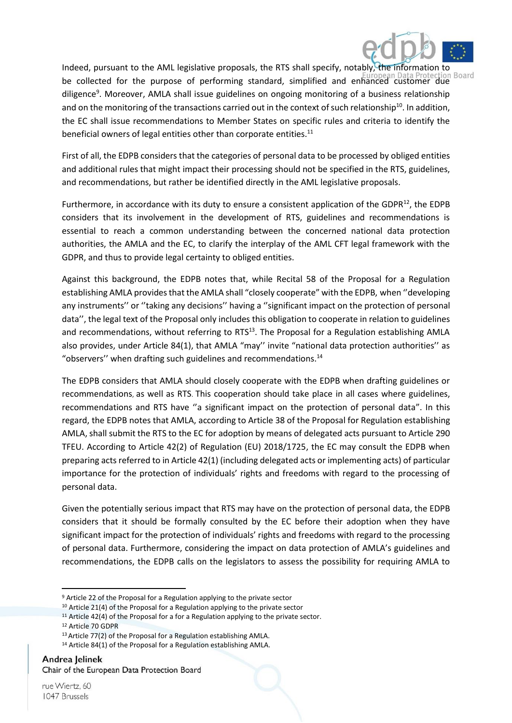

Indeed, pursuant to the AML legislative proposals, the RTS shall specify, notably, the information to be collected for the purpose of performing standard, simplified and enhanced customer due diligence<sup>9</sup>. Moreover, AMLA shall issue guidelines on ongoing monitoring of a business relationship and on the monitoring of the transactions carried out in the context of such relationship<sup>10</sup>. In addition, the EC shall issue recommendations to Member States on specific rules and criteria to identify the beneficial owners of legal entities other than corporate entities. $11$ 

First of all, the EDPB considers that the categories of personal data to be processed by obliged entities and additional rules that might impact their processing should not be specified in the RTS, guidelines, and recommendations, but rather be identified directly in the AML legislative proposals.

Furthermore, in accordance with its duty to ensure a consistent application of the GDPR<sup>12</sup>, the EDPB considers that its involvement in the development of RTS, guidelines and recommendations is essential to reach a common understanding between the concerned national data protection authorities, the AMLA and the EC, to clarify the interplay of the AML CFT legal framework with the GDPR, and thus to provide legal certainty to obliged entities.

Against this background, the EDPB notes that, while Recital 58 of the Proposal for a Regulation establishing AMLA provides that the AMLA shall "closely cooperate" with the EDPB, when ''developing any instruments'' or ''taking any decisions'' having a ''significant impact on the protection of personal data'', the legal text of the Proposal only includes this obligation to cooperate in relation to guidelines and recommendations, without referring to RTS<sup>13</sup>. The Proposal for a Regulation establishing AMLA also provides, under Article 84(1), that AMLA "may'' invite "national data protection authorities'' as "observers" when drafting such guidelines and recommendations.<sup>14</sup>

The EDPB considers that AMLA should closely cooperate with the EDPB when drafting guidelines or recommendations, as well as RTS. This cooperation should take place in all cases where guidelines, recommendations and RTS have ''a significant impact on the protection of personal data". In this regard, the EDPB notes that AMLA, according to Article 38 of the Proposal for Regulation establishing AMLA, shall submit the RTS to the EC for adoption by means of delegated acts pursuant to Article 290 TFEU. According to Article 42(2) of Regulation (EU) 2018/1725, the EC may consult the EDPB when preparing acts referred to in Article 42(1) (including delegated acts or implementing acts) of particular importance for the protection of individuals' rights and freedoms with regard to the processing of personal data.

Given the potentially serious impact that RTS may have on the protection of personal data, the EDPB considers that it should be formally consulted by the EC before their adoption when they have significant impact for the protection of individuals' rights and freedoms with regard to the processing of personal data. Furthermore, considering the impact on data protection of AMLA's guidelines and recommendations, the EDPB calls on the legislators to assess the possibility for requiring AMLA to

Andrea Jelinek Chair of the European Data Protection Board

<sup>9</sup> Article 22 of the Proposal for a Regulation applying to the private sector

 $10$  Article 21(4) of the Proposal for a Regulation applying to the private sector

 $11$  Article 42(4) of the Proposal for a for a Regulation applying to the private sector.

<sup>12</sup> Article 70 GDPR

<sup>13</sup>Article 77(2) of the Proposal for a Regulation establishing AMLA.

<sup>&</sup>lt;sup>14</sup> Article 84(1) of the Proposal for a Regulation establishing AMLA.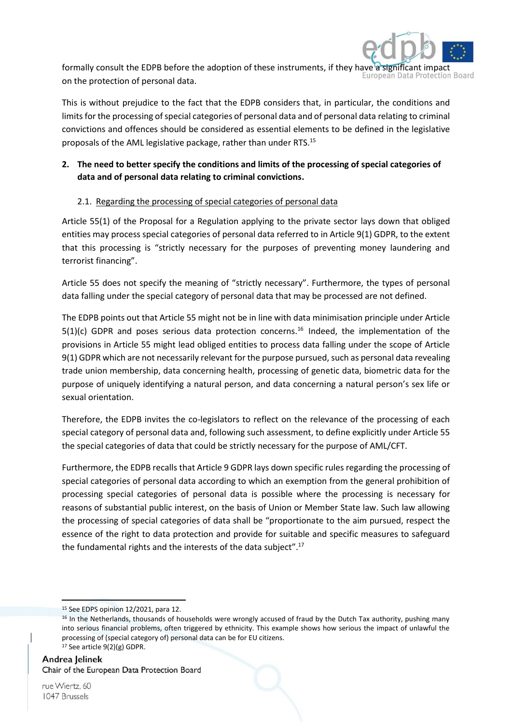

formally consult the EDPB before the adoption of these instruments, if they have a significant in Iropean on the protection of personal data.

This is without prejudice to the fact that the EDPB considers that, in particular, the conditions and limits for the processing of special categories of personal data and of personal data relating to criminal convictions and offences should be considered as essential elements to be defined in the legislative proposals of the AML legislative package, rather than under RTS.<sup>15</sup>

# **2. The need to better specify the conditions and limits of the processing of special categories of data and of personal data relating to criminal convictions.**

#### 2.1. Regarding the processing of special categories of personal data

Article 55(1) of the Proposal for a Regulation applying to the private sector lays down that obliged entities may process special categories of personal data referred to in Article 9(1) GDPR, to the extent that this processing is "strictly necessary for the purposes of preventing money laundering and terrorist financing".

Article 55 does not specify the meaning of "strictly necessary". Furthermore, the types of personal data falling under the special category of personal data that may be processed are not defined.

The EDPB points out that Article 55 might not be in line with data minimisation principle under Article  $5(1)(c)$  GDPR and poses serious data protection concerns.<sup>16</sup> Indeed, the implementation of the provisions in Article 55 might lead obliged entities to process data falling under the scope of Article 9(1) GDPR which are not necessarily relevant for the purpose pursued, such as personal data revealing trade union membership, data concerning health, processing of genetic data, biometric data for the purpose of uniquely identifying a natural person, and data concerning a natural person's sex life or sexual orientation.

Therefore, the EDPB invites the co-legislators to reflect on the relevance of the processing of each special category of personal data and, following such assessment, to define explicitly under Article 55 the special categories of data that could be strictly necessary for the purpose of AML/CFT.

Furthermore, the EDPB recalls that Article 9 GDPR lays down specific rules regarding the processing of special categories of personal data according to which an exemption from the general prohibition of processing special categories of personal data is possible where the processing is necessary for reasons of substantial public interest, on the basis of Union or Member State law. Such law allowing the processing of special categories of data shall be "proportionate to the aim pursued, respect the essence of the right to data protection and provide for suitable and specific measures to safeguard the fundamental rights and the interests of the data subject".<sup>17</sup>

<sup>15</sup> See EDPS opinion 12/2021, para 12.

 $16$  In the Netherlands, thousands of households were wrongly accused of fraud by the Dutch Tax authority, pushing many into serious financial problems, often triggered by ethnicity. This example shows how serious the impact of unlawful the processing of (special category of) personal data can be for EU citizens. <sup>17</sup> See article 9(2)(g) GDPR.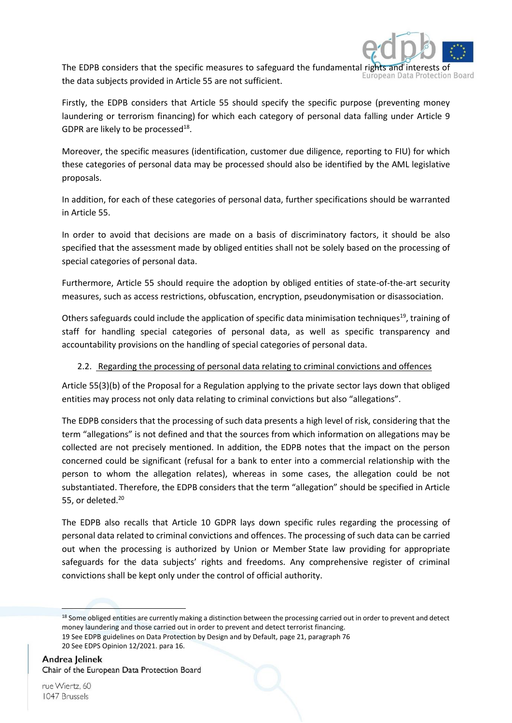

The EDPB considers that the specific measures to safeguard the fundamental rights the data subjects provided in Article 55 are not sufficient.

Firstly, the EDPB considers that Article 55 should specify the specific purpose (preventing money laundering or terrorism financing) for which each category of personal data falling under Article 9 GDPR are likely to be processed $^{18}$ .

Moreover, the specific measures (identification, customer due diligence, reporting to FIU) for which these categories of personal data may be processed should also be identified by the AML legislative proposals.

In addition, for each of these categories of personal data, further specifications should be warranted in Article 55.

In order to avoid that decisions are made on a basis of discriminatory factors, it should be also specified that the assessment made by obliged entities shall not be solely based on the processing of special categories of personal data.

Furthermore, Article 55 should require the adoption by obliged entities of state-of-the-art security measures, such as access restrictions, obfuscation, encryption, pseudonymisation or disassociation.

Others safeguards could include the application of specific data minimisation techniques<sup>19</sup>, training of staff for handling special categories of personal data, as well as specific transparency and accountability provisions on the handling of special categories of personal data.

### 2.2. Regarding the processing of personal data relating to criminal convictions and offences

Article 55(3)(b) of the Proposal for a Regulation applying to the private sector lays down that obliged entities may process not only data relating to criminal convictions but also "allegations".

The EDPB considers that the processing of such data presents a high level of risk, considering that the term "allegations" is not defined and that the sources from which information on allegations may be collected are not precisely mentioned. In addition, the EDPB notes that the impact on the person concerned could be significant (refusal for a bank to enter into a commercial relationship with the person to whom the allegation relates), whereas in some cases, the allegation could be not substantiated. Therefore, the EDPB considers that the term "allegation" should be specified in Article 55, or deleted.<sup>20</sup>

The EDPB also recalls that Article 10 GDPR lays down specific rules regarding the processing of personal data related to criminal convictions and offences. The processing of such data can be carried out when the processing is authorized by Union or Member State law providing for appropriate safeguards for the data subjects' rights and freedoms. Any comprehensive register of criminal convictions shall be kept only under the control of official authority.

1

<sup>18</sup> Some obliged entities are currently making a distinction between the processing carried out in order to prevent and detect money laundering and those carried out in order to prevent and detect terrorist financing.

<sup>19</sup> See EDPB guidelines on Data Protection by Design and by Default, page 21, paragraph 76 20 See EDPS Opinion 12/2021. para 16.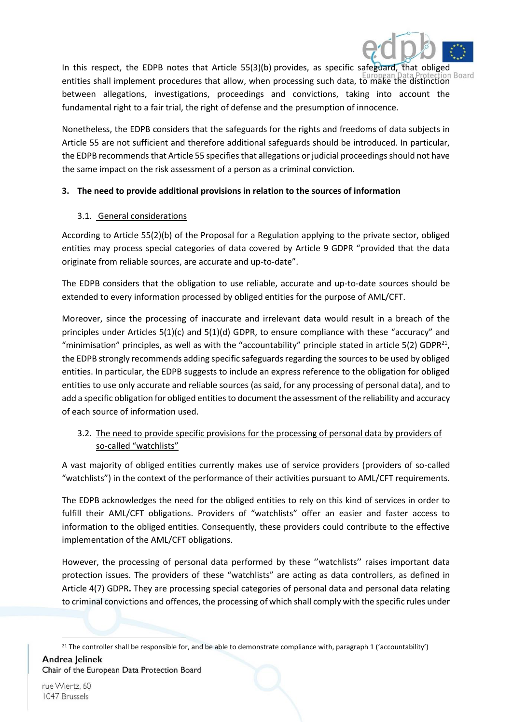

In this respect, the EDPB notes that Article 55(3)(b) provides, as specific safeguard, that obliged entities shall implement procedures that allow, when processing such data, to make the distinction between allegations, investigations, proceedings and convictions, taking into account the fundamental right to a fair trial, the right of defense and the presumption of innocence.

Nonetheless, the EDPB considers that the safeguards for the rights and freedoms of data subjects in Article 55 are not sufficient and therefore additional safeguards should be introduced. In particular, the EDPB recommends that Article 55 specifies that allegations or judicial proceedings should not have the same impact on the risk assessment of a person as a criminal conviction.

#### **3. The need to provide additional provisions in relation to the sources of information**

#### 3.1. General considerations

According to Article 55(2)(b) of the Proposal for a Regulation applying to the private sector, obliged entities may process special categories of data covered by Article 9 GDPR "provided that the data originate from reliable sources, are accurate and up-to-date".

The EDPB considers that the obligation to use reliable, accurate and up-to-date sources should be extended to every information processed by obliged entities for the purpose of AML/CFT.

Moreover, since the processing of inaccurate and irrelevant data would result in a breach of the principles under Articles 5(1)(c) and 5(1)(d) GDPR, to ensure compliance with these "accuracy" and "minimisation" principles, as well as with the "accountability" principle stated in article  $5(2)$  GDPR<sup>21</sup>, the EDPB strongly recommends adding specific safeguards regarding the sources to be used by obliged entities. In particular, the EDPB suggests to include an express reference to the obligation for obliged entities to use only accurate and reliable sources (as said, for any processing of personal data), and to add a specific obligation for obliged entities to document the assessment of the reliability and accuracy of each source of information used.

# 3.2. The need to provide specific provisions for the processing of personal data by providers of so-called "watchlists"

A vast majority of obliged entities currently makes use of service providers (providers of so-called "watchlists") in the context of the performance of their activities pursuant to AML/CFT requirements.

The EDPB acknowledges the need for the obliged entities to rely on this kind of services in order to fulfill their AML/CFT obligations. Providers of "watchlists" offer an easier and faster access to information to the obliged entities. Consequently, these providers could contribute to the effective implementation of the AML/CFT obligations.

However, the processing of personal data performed by these ''watchlists'' raises important data protection issues. The providers of these "watchlists" are acting as data controllers, as defined in Article 4(7) GDPR**.** They are processing special categories of personal data and personal data relating to criminal convictions and offences, the processing of which shall comply with the specific rules under

Andrea Jelinek Chair of the European Data Protection Board

**<sup>.</sup>** <sup>21</sup> The controller shall be responsible for, and be able to demonstrate compliance with, paragraph 1 ('accountability')